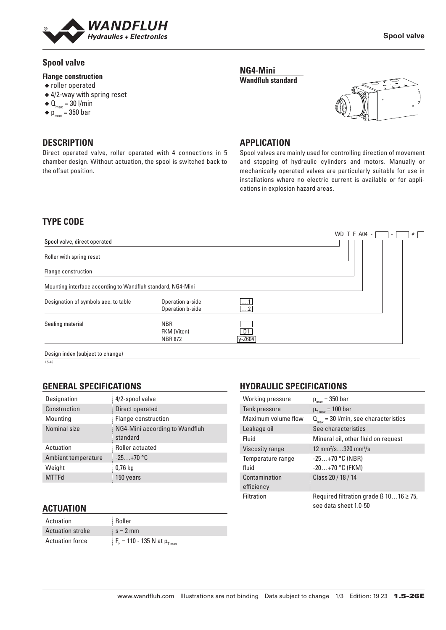

Direct operated valve, roller operated with 4 connections in 5 chamber design. Without actuation, the spool is switched back to

# **Spool valve**

### **Flange construction**

- ◆ roller operated
- ◆ 4/2-way with spring reset
- $\triangleleft \mathbf{0}_{\text{max}} = 30$  l/min
- $\bullet$  p<sub>max</sub> = 350 bar

**DESCRIPTION**

the offset position.

### **Spool valve**

### **APPLICATION**

**NG4-Mini Wandfluh standard**

Spool valves are mainly used for controlling direction of movement and stopping of hydraulic cylinders and motors. Manually or mechanically operated valves are particularly suitable for use in installations where no electric current is available or for applications in explosion hazard areas.

# **TYPE CODE**

|                                                             |                                             |                                    | WD T F A04 -<br>#<br>۰ |
|-------------------------------------------------------------|---------------------------------------------|------------------------------------|------------------------|
| Spool valve, direct operated                                |                                             |                                    |                        |
| Roller with spring reset                                    |                                             |                                    |                        |
| Flange construction                                         |                                             |                                    |                        |
| Mounting interface according to Wandfluh standard, NG4-Mini |                                             |                                    |                        |
| Designation of symbols acc. to table                        | Operation a-side<br>Operation b-side        | <u> L</u><br>$\overline{\ldots 2}$ |                        |
| Sealing material                                            | <b>NBR</b><br>FKM (Viton)<br><b>NBR 872</b> | D1<br>$y - Z604$                   |                        |
| Decian index (subject to change)                            |                                             |                                    |                        |

Design index (subject

1.5-46

# **GENERAL SPECIFICATIONS**

| Designation         | 4/2-spool valve                            |
|---------------------|--------------------------------------------|
| Construction        | Direct operated                            |
| Mounting            | Flange construction                        |
| Nominal size        | NG4-Mini according to Wandfluh<br>standard |
| Actuation           | Roller actuated                            |
| Ambient temperature | $-25+70$ °C                                |
| Weight              | $0,76$ kg                                  |
| <b>MTTFd</b>        | 150 years                                  |

# **ACTUATION**

| Actuation               | <b>Roller</b>                        |
|-------------------------|--------------------------------------|
| <b>Actuation stroke</b> | $s = 2$ mm                           |
| <b>Actuation force</b>  | $F_h = 110 - 135$ N at $p_{T_{max}}$ |

# **HYDRAULIC SPECIFICATIONS**

| Working pressure            | $p_{max} = 350$ bar                                                        |
|-----------------------------|----------------------------------------------------------------------------|
| Tank pressure               | $p_{T max}$ = 100 bar                                                      |
| Maximum volume flow         | $Q_{\text{max}}$ = 30 l/min, see characteristics                           |
| Leakage oil                 | See characteristics                                                        |
| Fluid                       | Mineral oil, other fluid on request                                        |
| Viscosity range             | 12 mm <sup>2</sup> /s320 mm <sup>2</sup> /s                                |
| Temperature range<br>fluid  | $-25+70$ °C (NBR)<br>$-20+70$ °C (FKM)                                     |
| Contamination<br>efficiency | Class 20 / 18 / 14                                                         |
| <b>Filtration</b>           | Required filtration grade $\beta$ 1016 $\geq$ 75,<br>see data sheet 1.0-50 |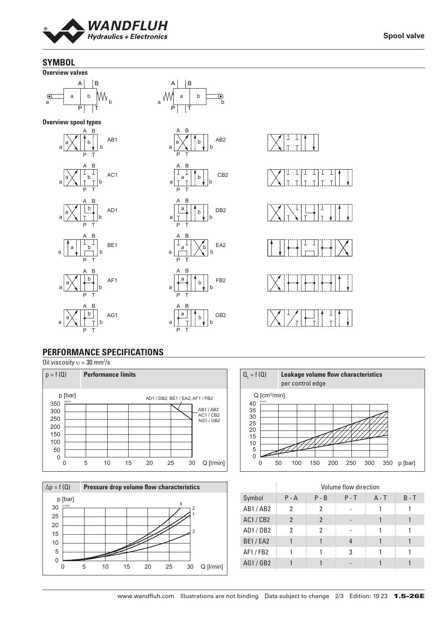

# **SYMBOL**



**Spool valve**

# **PERFORMANCE SPECIFICATIONS**

Oil viscosity  $v = 30$  mm<sup>2</sup>/s







|                |         |         | Volume flow direction |         |         |
|----------------|---------|---------|-----------------------|---------|---------|
| Symbol         | $P - A$ | $P - B$ | $P - T$               | $A - T$ | $B - T$ |
| AB1/AB2        | 2       | 2       |                       |         |         |
| <b>AC1/CB2</b> | 2       | 2       |                       |         |         |
| AD1/DB2        | 2       | 2       |                       |         |         |
| <b>BE1/EA2</b> |         |         |                       |         |         |
| AF1/FB2        |         |         | 3                     |         |         |
| AG1/GB2        |         |         |                       |         |         |